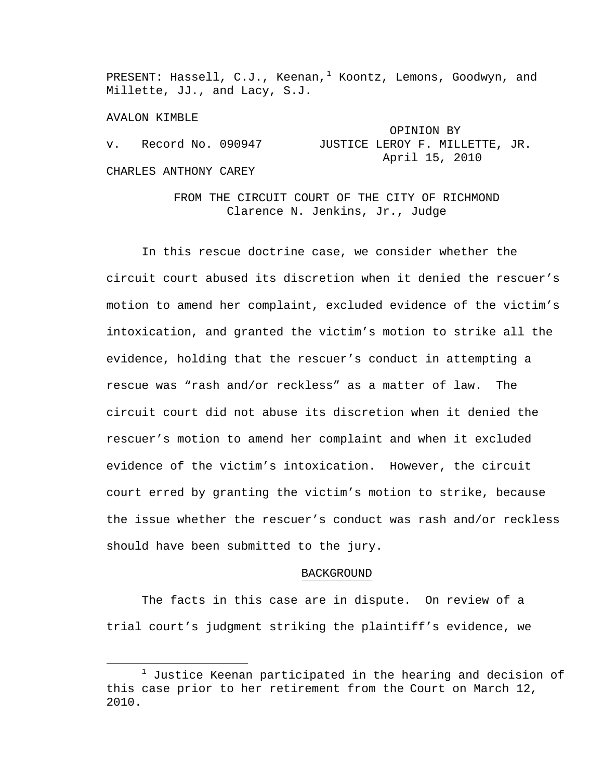PRESENT: Hassell, C.J., Keenan,<sup>[1](#page-0-0)</sup> Koontz, Lemons, Goodwyn, and Millette, JJ., and Lacy, S.J.

AVALON KIMBLE

|             |                       | OPINION BY                     |
|-------------|-----------------------|--------------------------------|
| $V_{\rm A}$ | Record No. 090947     | JUSTICE LEROY F. MILLETTE, JR. |
|             |                       | April 15, 2010                 |
|             | CHARLES ANTHONY CAREY |                                |

FROM THE CIRCUIT COURT OF THE CITY OF RICHMOND Clarence N. Jenkins, Jr., Judge

In this rescue doctrine case, we consider whether the circuit court abused its discretion when it denied the rescuer's motion to amend her complaint, excluded evidence of the victim's intoxication, and granted the victim's motion to strike all the evidence, holding that the rescuer's conduct in attempting a rescue was "rash and/or reckless" as a matter of law. The circuit court did not abuse its discretion when it denied the rescuer's motion to amend her complaint and when it excluded evidence of the victim's intoxication. However, the circuit court erred by granting the victim's motion to strike, because the issue whether the rescuer's conduct was rash and/or reckless should have been submitted to the jury.

### BACKGROUND

The facts in this case are in dispute. On review of a trial court's judgment striking the plaintiff's evidence, we

<span id="page-0-0"></span> $\frac{1}{1}$  $1$  Justice Keenan participated in the hearing and decision of this case prior to her retirement from the Court on March 12, 2010.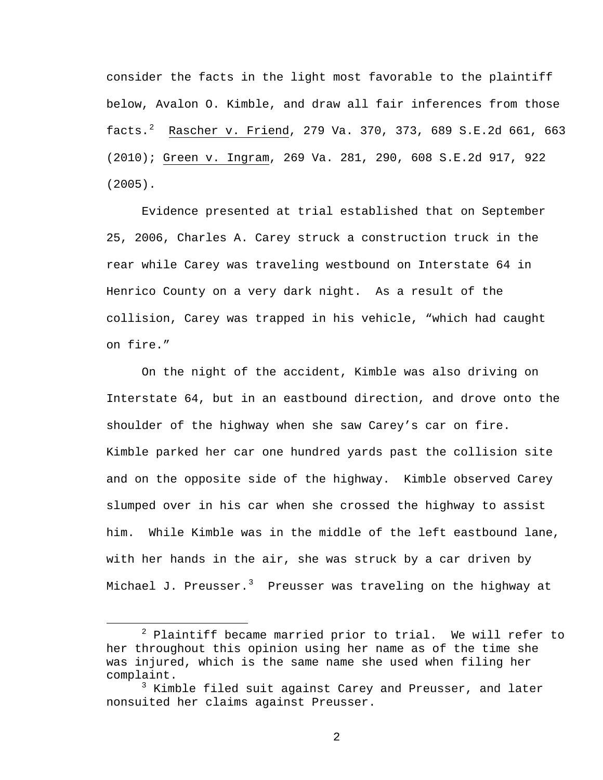consider the facts in the light most favorable to the plaintiff below, Avalon O. Kimble, and draw all fair inferences from those facts.[2](#page-1-0) Rascher v. Friend, 279 Va. 370, 373, 689 S.E.2d 661, 663 (2010); Green v. Ingram, 269 Va. 281, 290, 608 S.E.2d 917, 922 (2005).

Evidence presented at trial established that on September 25, 2006, Charles A. Carey struck a construction truck in the rear while Carey was traveling westbound on Interstate 64 in Henrico County on a very dark night. As a result of the collision, Carey was trapped in his vehicle, "which had caught on fire."

On the night of the accident, Kimble was also driving on Interstate 64, but in an eastbound direction, and drove onto the shoulder of the highway when she saw Carey's car on fire. Kimble parked her car one hundred yards past the collision site and on the opposite side of the highway. Kimble observed Carey slumped over in his car when she crossed the highway to assist him. While Kimble was in the middle of the left eastbound lane, with her hands in the air, she was struck by a car driven by Michael J. Preusser. $3$  Preusser was traveling on the highway at

<span id="page-1-0"></span> $\begin{array}{c|c}\n\hline\n\end{array}$  $2$  Plaintiff became married prior to trial. We will refer to her throughout this opinion using her name as of the time she was injured, which is the same name she used when filing her complaint.

<span id="page-1-1"></span><sup>&</sup>lt;sup>3</sup> Kimble filed suit against Carey and Preusser, and later nonsuited her claims against Preusser.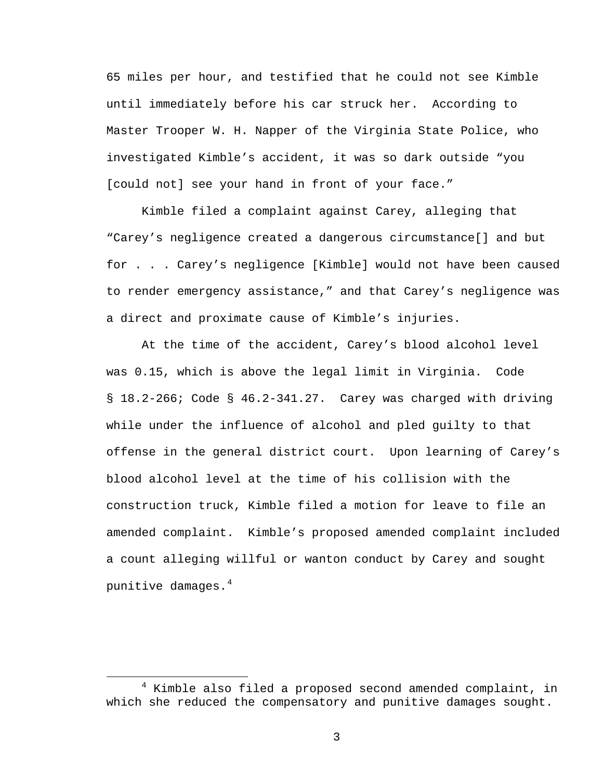65 miles per hour, and testified that he could not see Kimble until immediately before his car struck her. According to Master Trooper W. H. Napper of the Virginia State Police, who investigated Kimble's accident, it was so dark outside "you [could not] see your hand in front of your face."

 Kimble filed a complaint against Carey, alleging that "Carey's negligence created a dangerous circumstance[] and but for . . . Carey's negligence [Kimble] would not have been caused to render emergency assistance," and that Carey's negligence was a direct and proximate cause of Kimble's injuries.

At the time of the accident, Carey's blood alcohol level was 0.15, which is above the legal limit in Virginia. Code § 18.2-266; Code § 46.2-341.27. Carey was charged with driving while under the influence of alcohol and pled guilty to that offense in the general district court. Upon learning of Carey's blood alcohol level at the time of his collision with the construction truck, Kimble filed a motion for leave to file an amended complaint. Kimble's proposed amended complaint included a count alleging willful or wanton conduct by Carey and sought punitive damages.[4](#page-2-0)

<span id="page-2-0"></span> $\overline{\phantom{a}}$  $4$  Kimble also filed a proposed second amended complaint, in which she reduced the compensatory and punitive damages sought.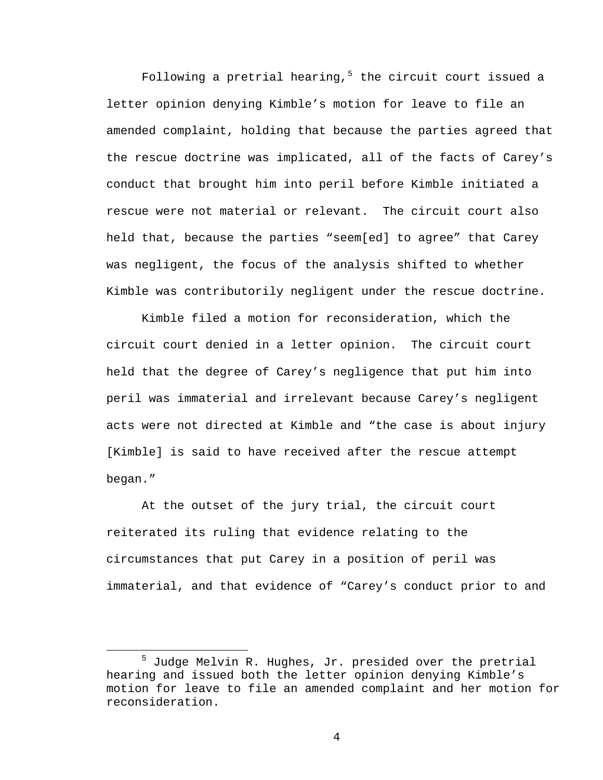Following a pretrial hearing,<sup>[5](#page-3-0)</sup> the circuit court issued a letter opinion denying Kimble's motion for leave to file an amended complaint, holding that because the parties agreed that the rescue doctrine was implicated, all of the facts of Carey's conduct that brought him into peril before Kimble initiated a rescue were not material or relevant. The circuit court also held that, because the parties "seem[ed] to agree" that Carey was negligent, the focus of the analysis shifted to whether Kimble was contributorily negligent under the rescue doctrine.

Kimble filed a motion for reconsideration, which the circuit court denied in a letter opinion. The circuit court held that the degree of Carey's negligence that put him into peril was immaterial and irrelevant because Carey's negligent acts were not directed at Kimble and "the case is about injury [Kimble] is said to have received after the rescue attempt began."

 At the outset of the jury trial, the circuit court reiterated its ruling that evidence relating to the circumstances that put Carey in a position of peril was immaterial, and that evidence of "Carey's conduct prior to and

<span id="page-3-0"></span><sup>5</sup>  $5$  Judge Melvin R. Hughes, Jr. presided over the pretrial hearing and issued both the letter opinion denying Kimble's motion for leave to file an amended complaint and her motion for reconsideration.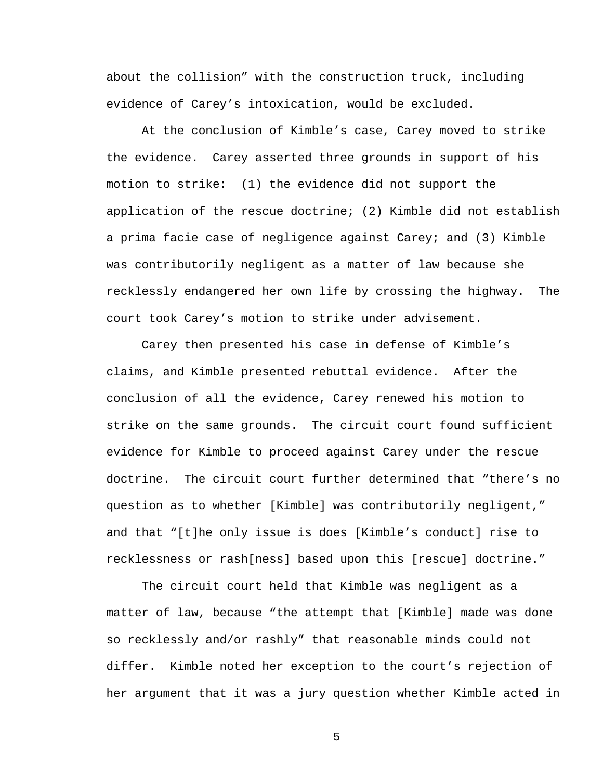about the collision" with the construction truck, including evidence of Carey's intoxication, would be excluded.

At the conclusion of Kimble's case, Carey moved to strike the evidence. Carey asserted three grounds in support of his motion to strike: (1) the evidence did not support the application of the rescue doctrine; (2) Kimble did not establish a prima facie case of negligence against Carey; and (3) Kimble was contributorily negligent as a matter of law because she recklessly endangered her own life by crossing the highway. The court took Carey's motion to strike under advisement.

 Carey then presented his case in defense of Kimble's claims, and Kimble presented rebuttal evidence. After the conclusion of all the evidence, Carey renewed his motion to strike on the same grounds. The circuit court found sufficient evidence for Kimble to proceed against Carey under the rescue doctrine. The circuit court further determined that "there's no question as to whether [Kimble] was contributorily negligent," and that "[t]he only issue is does [Kimble's conduct] rise to recklessness or rash[ness] based upon this [rescue] doctrine."

The circuit court held that Kimble was negligent as a matter of law, because "the attempt that [Kimble] made was done so recklessly and/or rashly" that reasonable minds could not differ. Kimble noted her exception to the court's rejection of her argument that it was a jury question whether Kimble acted in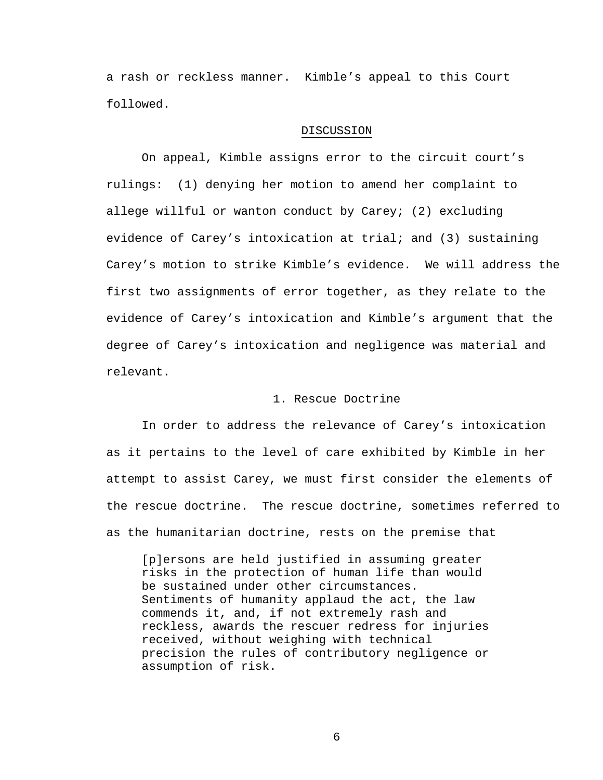a rash or reckless manner. Kimble's appeal to this Court followed.

### DISCUSSION

On appeal, Kimble assigns error to the circuit court's rulings: (1) denying her motion to amend her complaint to allege willful or wanton conduct by Carey; (2) excluding evidence of Carey's intoxication at trial; and (3) sustaining Carey's motion to strike Kimble's evidence. We will address the first two assignments of error together, as they relate to the evidence of Carey's intoxication and Kimble's argument that the degree of Carey's intoxication and negligence was material and relevant.

## 1. Rescue Doctrine

In order to address the relevance of Carey's intoxication as it pertains to the level of care exhibited by Kimble in her attempt to assist Carey, we must first consider the elements of the rescue doctrine. The rescue doctrine, sometimes referred to as the humanitarian doctrine, rests on the premise that

[p]ersons are held justified in assuming greater risks in the protection of human life than would be sustained under other circumstances. Sentiments of humanity applaud the act, the law commends it, and, if not extremely rash and reckless, awards the rescuer redress for injuries received, without weighing with technical precision the rules of contributory negligence or assumption of risk.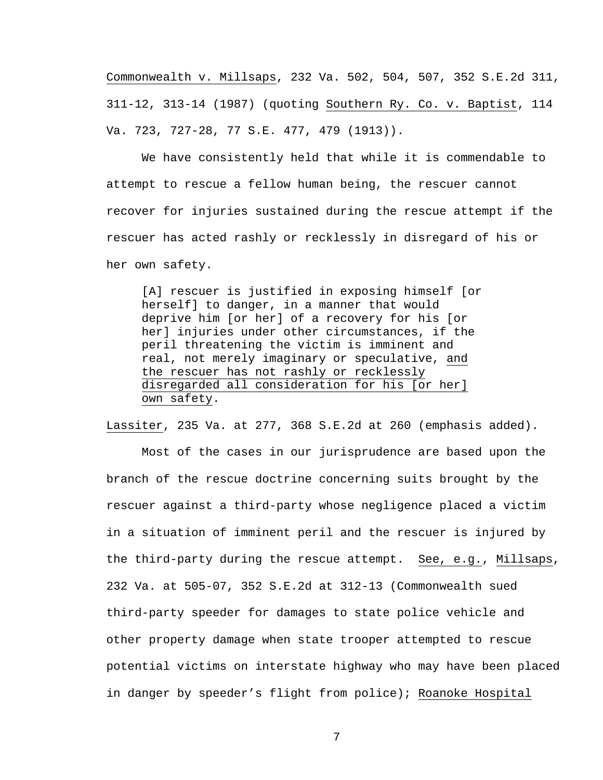Commonwealth v. Millsaps, 232 Va. 502, 504, 507, 352 S.E.2d 311, 311-12, 313-14 (1987) (quoting Southern Ry. Co. v. Baptist, 114 Va. 723, 727-28, 77 S.E. 477, 479 (1913)).

We have consistently held that while it is commendable to attempt to rescue a fellow human being, the rescuer cannot recover for injuries sustained during the rescue attempt if the rescuer has acted rashly or recklessly in disregard of his or her own safety.

[A] rescuer is justified in exposing himself [or herself] to danger, in a manner that would deprive him [or her] of a recovery for his [or her] injuries under other circumstances, if the peril threatening the victim is imminent and real, not merely imaginary or speculative, and the rescuer has not rashly or recklessly disregarded all consideration for his [or her] own safety.

Lassiter, 235 Va. at 277, 368 S.E.2d at 260 (emphasis added).

 Most of the cases in our jurisprudence are based upon the branch of the rescue doctrine concerning suits brought by the rescuer against a third-party whose negligence placed a victim in a situation of imminent peril and the rescuer is injured by the third-party during the rescue attempt. See, e.g., Millsaps, 232 Va. at 505-07, 352 S.E.2d at 312-13 (Commonwealth sued third-party speeder for damages to state police vehicle and other property damage when state trooper attempted to rescue potential victims on interstate highway who may have been placed in danger by speeder's flight from police); Roanoke Hospital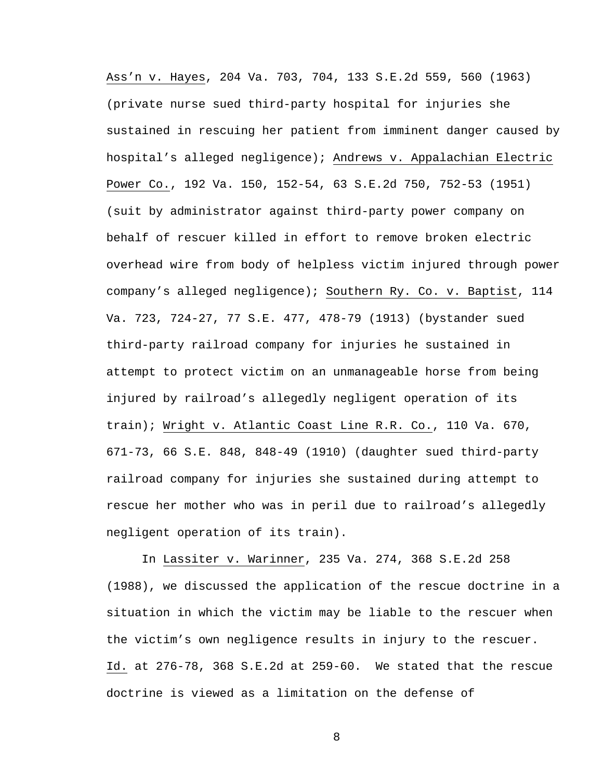Ass'n v. Hayes, 204 Va. 703, 704, 133 S.E.2d 559, 560 (1963) (private nurse sued third-party hospital for injuries she sustained in rescuing her patient from imminent danger caused by hospital's alleged negligence); Andrews v. Appalachian Electric Power Co., 192 Va. 150, 152-54, 63 S.E.2d 750, 752-53 (1951) (suit by administrator against third-party power company on behalf of rescuer killed in effort to remove broken electric overhead wire from body of helpless victim injured through power company's alleged negligence); Southern Ry. Co. v. Baptist, 114 Va. 723, 724-27, 77 S.E. 477, 478-79 (1913) (bystander sued third-party railroad company for injuries he sustained in attempt to protect victim on an unmanageable horse from being injured by railroad's allegedly negligent operation of its train); Wright v. Atlantic Coast Line R.R. Co., 110 Va. 670, 671-73, 66 S.E. 848, 848-49 (1910) (daughter sued third-party railroad company for injuries she sustained during attempt to rescue her mother who was in peril due to railroad's allegedly negligent operation of its train).

In Lassiter v. Warinner, 235 Va. 274, 368 S.E.2d 258 (1988), we discussed the application of the rescue doctrine in a situation in which the victim may be liable to the rescuer when the victim's own negligence results in injury to the rescuer. Id. at 276-78, 368 S.E.2d at 259-60. We stated that the rescue doctrine is viewed as a limitation on the defense of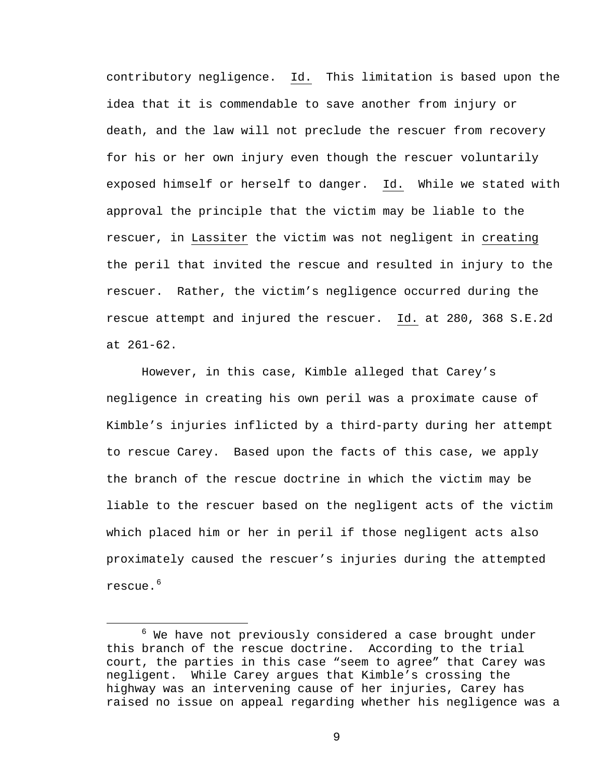contributory negligence. Id. This limitation is based upon the idea that it is commendable to save another from injury or death, and the law will not preclude the rescuer from recovery for his or her own injury even though the rescuer voluntarily exposed himself or herself to danger. Id. While we stated with approval the principle that the victim may be liable to the rescuer, in Lassiter the victim was not negligent in creating the peril that invited the rescue and resulted in injury to the rescuer. Rather, the victim's negligence occurred during the rescue attempt and injured the rescuer. Id. at 280, 368 S.E.2d at 261-62.

However, in this case, Kimble alleged that Carey's negligence in creating his own peril was a proximate cause of Kimble's injuries inflicted by a third-party during her attempt to rescue Carey. Based upon the facts of this case, we apply the branch of the rescue doctrine in which the victim may be liable to the rescuer based on the negligent acts of the victim which placed him or her in peril if those negligent acts also proximately caused the rescuer's injuries during the attempted rescue.<sup>[6](#page-8-0)</sup>

<span id="page-8-0"></span><sup>6</sup>  $6$  We have not previously considered a case brought under this branch of the rescue doctrine. According to the trial court, the parties in this case "seem to agree" that Carey was negligent. While Carey argues that Kimble's crossing the highway was an intervening cause of her injuries, Carey has raised no issue on appeal regarding whether his negligence was a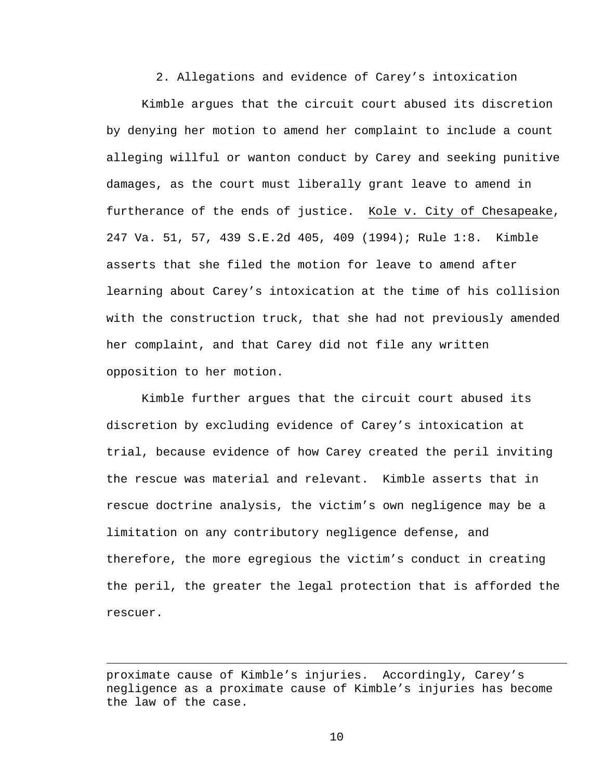2. Allegations and evidence of Carey's intoxication

 Kimble argues that the circuit court abused its discretion by denying her motion to amend her complaint to include a count alleging willful or wanton conduct by Carey and seeking punitive damages, as the court must liberally grant leave to amend in furtherance of the ends of justice. Kole v. City of Chesapeake, 247 Va. 51, 57, 439 S.E.2d 405, 409 (1994); Rule 1:8. Kimble asserts that she filed the motion for leave to amend after learning about Carey's intoxication at the time of his collision with the construction truck, that she had not previously amended her complaint, and that Carey did not file any written opposition to her motion.

Kimble further argues that the circuit court abused its discretion by excluding evidence of Carey's intoxication at trial, because evidence of how Carey created the peril inviting the rescue was material and relevant. Kimble asserts that in rescue doctrine analysis, the victim's own negligence may be a limitation on any contributory negligence defense, and therefore, the more egregious the victim's conduct in creating the peril, the greater the legal protection that is afforded the rescuer.

 $\overline{a}$ 

proximate cause of Kimble's injuries. Accordingly, Carey's negligence as a proximate cause of Kimble's injuries has become the law of the case.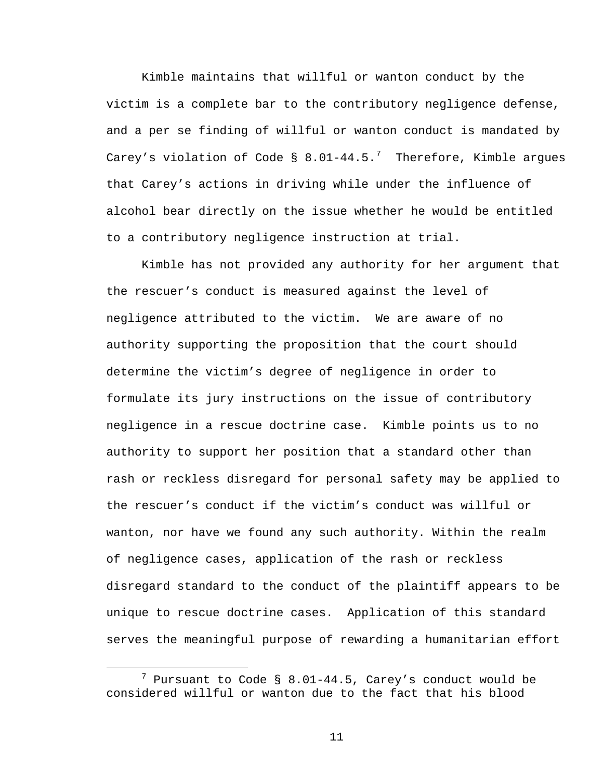Kimble maintains that willful or wanton conduct by the victim is a complete bar to the contributory negligence defense, and a per se finding of willful or wanton conduct is mandated by Carey's violation of Code § 8.01-44.5.<sup>[7](#page-10-0)</sup> Therefore, Kimble argues that Carey's actions in driving while under the influence of alcohol bear directly on the issue whether he would be entitled to a contributory negligence instruction at trial.

Kimble has not provided any authority for her argument that the rescuer's conduct is measured against the level of negligence attributed to the victim. We are aware of no authority supporting the proposition that the court should determine the victim's degree of negligence in order to formulate its jury instructions on the issue of contributory negligence in a rescue doctrine case. Kimble points us to no authority to support her position that a standard other than rash or reckless disregard for personal safety may be applied to the rescuer's conduct if the victim's conduct was willful or wanton, nor have we found any such authority. Within the realm of negligence cases, application of the rash or reckless disregard standard to the conduct of the plaintiff appears to be unique to rescue doctrine cases. Application of this standard serves the meaningful purpose of rewarding a humanitarian effort

<span id="page-10-0"></span><sup>7</sup>  $7$  Pursuant to Code § 8.01-44.5, Carey's conduct would be considered willful or wanton due to the fact that his blood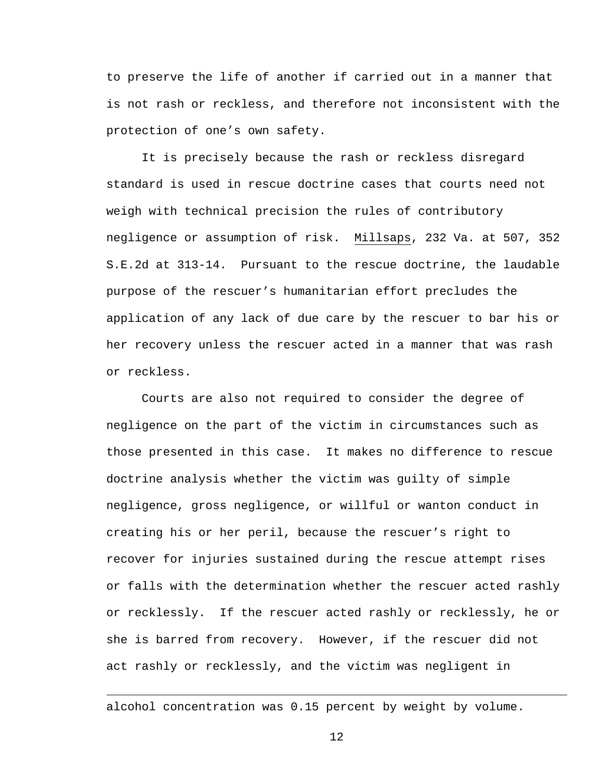to preserve the life of another if carried out in a manner that is not rash or reckless, and therefore not inconsistent with the protection of one's own safety.

It is precisely because the rash or reckless disregard standard is used in rescue doctrine cases that courts need not weigh with technical precision the rules of contributory negligence or assumption of risk. Millsaps, 232 Va. at 507, 352 S.E.2d at 313-14. Pursuant to the rescue doctrine, the laudable purpose of the rescuer's humanitarian effort precludes the application of any lack of due care by the rescuer to bar his or her recovery unless the rescuer acted in a manner that was rash or reckless.

Courts are also not required to consider the degree of negligence on the part of the victim in circumstances such as those presented in this case. It makes no difference to rescue doctrine analysis whether the victim was guilty of simple negligence, gross negligence, or willful or wanton conduct in creating his or her peril, because the rescuer's right to recover for injuries sustained during the rescue attempt rises or falls with the determination whether the rescuer acted rashly or recklessly. If the rescuer acted rashly or recklessly, he or she is barred from recovery. However, if the rescuer did not act rashly or recklessly, and the victim was negligent in

alcohol concentration was 0.15 percent by weight by volume.

 $\overline{a}$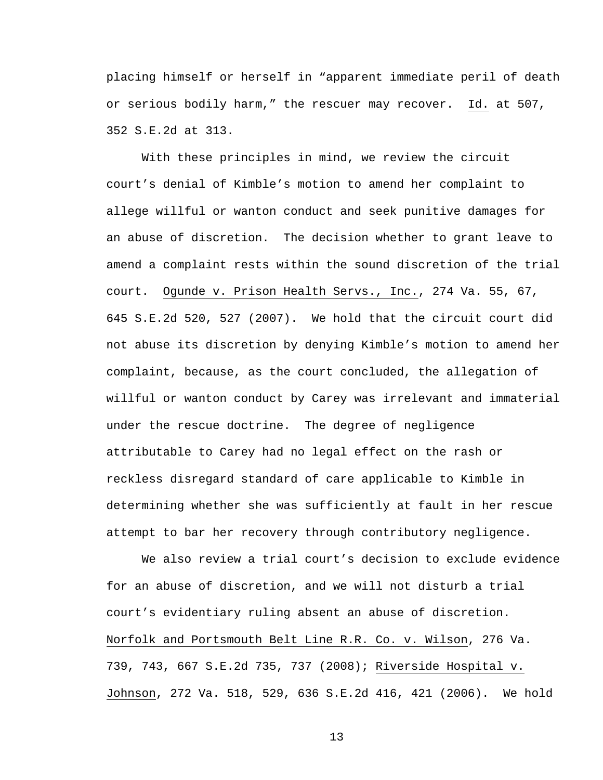placing himself or herself in "apparent immediate peril of death or serious bodily harm," the rescuer may recover. Id. at 507, 352 S.E.2d at 313.

With these principles in mind, we review the circuit court's denial of Kimble's motion to amend her complaint to allege willful or wanton conduct and seek punitive damages for an abuse of discretion. The decision whether to grant leave to amend a complaint rests within the sound discretion of the trial court. Ogunde v. Prison Health Servs., Inc., 274 Va. 55, 67, 645 S.E.2d 520, 527 (2007). We hold that the circuit court did not abuse its discretion by denying Kimble's motion to amend her complaint, because, as the court concluded, the allegation of willful or wanton conduct by Carey was irrelevant and immaterial under the rescue doctrine. The degree of negligence attributable to Carey had no legal effect on the rash or reckless disregard standard of care applicable to Kimble in determining whether she was sufficiently at fault in her rescue attempt to bar her recovery through contributory negligence.

We also review a trial court's decision to exclude evidence for an abuse of discretion, and we will not disturb a trial court's evidentiary ruling absent an abuse of discretion. Norfolk and Portsmouth Belt Line R.R. Co. v. Wilson, 276 Va. 739, 743, 667 S.E.2d 735, 737 (2008); Riverside Hospital v. Johnson, 272 Va. 518, 529, 636 S.E.2d 416, 421 (2006). We hold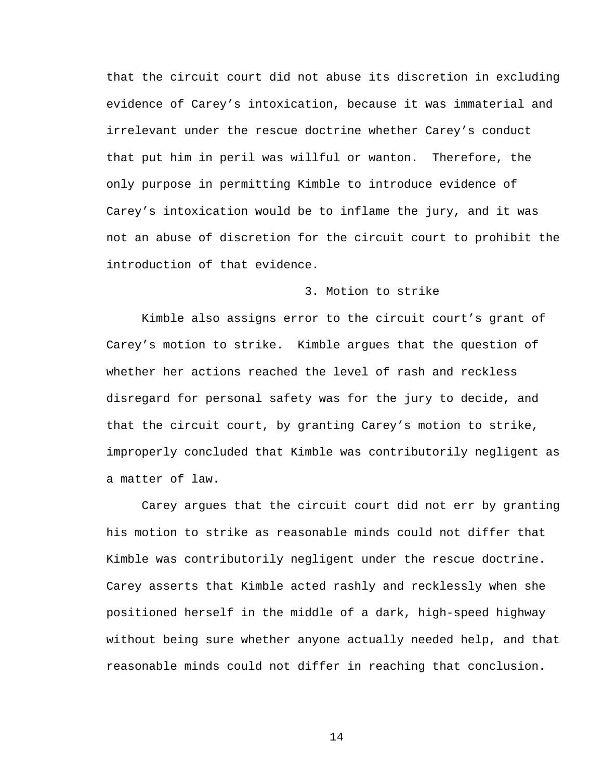that the circuit court did not abuse its discretion in excluding evidence of Carey's intoxication, because it was immaterial and irrelevant under the rescue doctrine whether Carey's conduct that put him in peril was willful or wanton. Therefore, the only purpose in permitting Kimble to introduce evidence of Carey's intoxication would be to inflame the jury, and it was not an abuse of discretion for the circuit court to prohibit the introduction of that evidence.

# 3. Motion to strike

Kimble also assigns error to the circuit court's grant of Carey's motion to strike. Kimble argues that the question of whether her actions reached the level of rash and reckless disregard for personal safety was for the jury to decide, and that the circuit court, by granting Carey's motion to strike, improperly concluded that Kimble was contributorily negligent as a matter of law.

Carey argues that the circuit court did not err by granting his motion to strike as reasonable minds could not differ that Kimble was contributorily negligent under the rescue doctrine. Carey asserts that Kimble acted rashly and recklessly when she positioned herself in the middle of a dark, high-speed highway without being sure whether anyone actually needed help, and that reasonable minds could not differ in reaching that conclusion.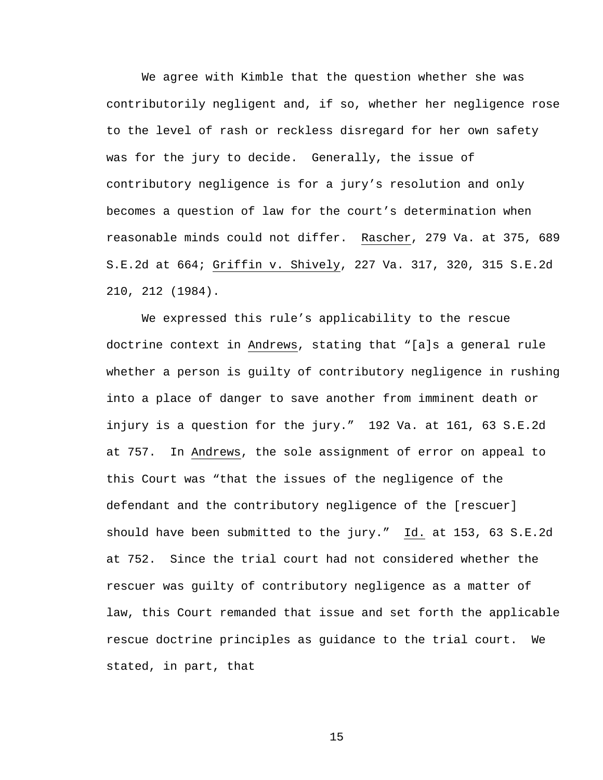We agree with Kimble that the question whether she was contributorily negligent and, if so, whether her negligence rose to the level of rash or reckless disregard for her own safety was for the jury to decide. Generally, the issue of contributory negligence is for a jury's resolution and only becomes a question of law for the court's determination when reasonable minds could not differ. Rascher, 279 Va. at 375, 689 S.E.2d at 664; Griffin v. Shively, 227 Va. 317, 320, 315 S.E.2d 210, 212 (1984).

We expressed this rule's applicability to the rescue doctrine context in Andrews, stating that "[a]s a general rule whether a person is guilty of contributory negligence in rushing into a place of danger to save another from imminent death or injury is a question for the jury." 192 Va. at 161, 63 S.E.2d at 757. In Andrews, the sole assignment of error on appeal to this Court was "that the issues of the negligence of the defendant and the contributory negligence of the [rescuer] should have been submitted to the jury." Id. at 153, 63 S.E.2d at 752. Since the trial court had not considered whether the rescuer was guilty of contributory negligence as a matter of law, this Court remanded that issue and set forth the applicable rescue doctrine principles as guidance to the trial court. We stated, in part, that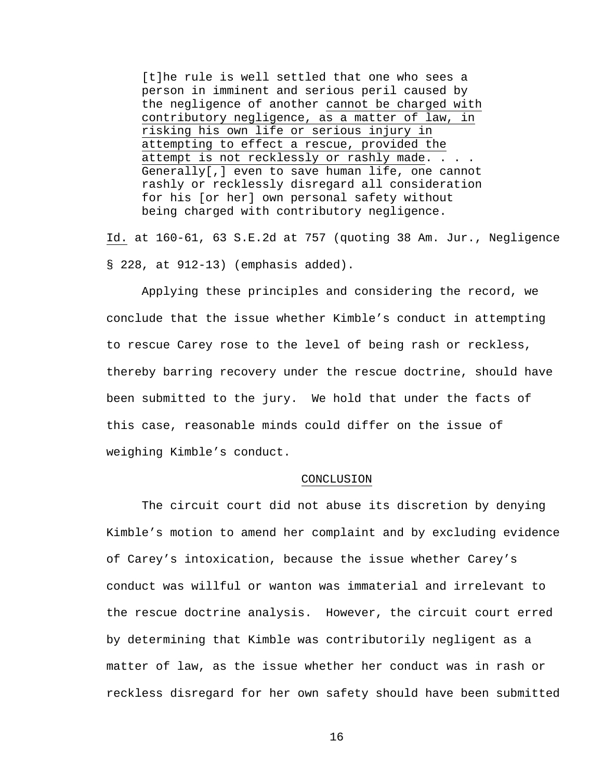[t]he rule is well settled that one who sees a person in imminent and serious peril caused by the negligence of another cannot be charged with contributory negligence, as a matter of law, in risking his own life or serious injury in attempting to effect a rescue, provided the attempt is not recklessly or rashly made. . . . Generally[,] even to save human life, one cannot rashly or recklessly disregard all consideration for his [or her] own personal safety without being charged with contributory negligence.

Id. at 160-61, 63 S.E.2d at 757 (quoting 38 Am. Jur., Negligence § 228, at 912-13) (emphasis added).

Applying these principles and considering the record, we conclude that the issue whether Kimble's conduct in attempting to rescue Carey rose to the level of being rash or reckless, thereby barring recovery under the rescue doctrine, should have been submitted to the jury. We hold that under the facts of this case, reasonable minds could differ on the issue of weighing Kimble's conduct.

### CONCLUSION

 The circuit court did not abuse its discretion by denying Kimble's motion to amend her complaint and by excluding evidence of Carey's intoxication, because the issue whether Carey's conduct was willful or wanton was immaterial and irrelevant to the rescue doctrine analysis. However, the circuit court erred by determining that Kimble was contributorily negligent as a matter of law, as the issue whether her conduct was in rash or reckless disregard for her own safety should have been submitted